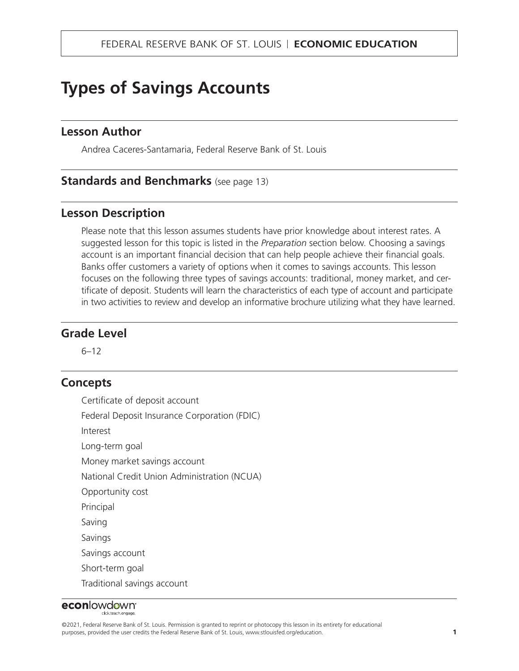# **Types of Savings Accounts**

### **Lesson Author**

Andrea Caceres-Santamaria, Federal Reserve Bank of St. Louis

#### **Standards and Benchmarks** (see page 13)

#### **Lesson Description**

Please note that this lesson assumes students have prior knowledge about interest rates. A suggested lesson for this topic is listed in the *Preparation* section below. Choosing a savings account is an important financial decision that can help people achieve their financial goals. Banks offer customers a variety of options when it comes to savings accounts. This lesson focuses on the following three types of savings accounts: traditional, money market, and certificate of deposit. Students will learn the characteristics of each type of account and participate in two activities to review and develop an informative brochure utilizing what they have learned.

#### **Grade Level**

6–12

#### **Concepts**

Certificate of deposit account Federal Deposit Insurance Corporation (FDIC) Interest Long-term goal Money market savings account National Credit Union Administration (NCUA) Opportunity cost Principal Saving Savings Savings account Short-term goal Traditional savings account

#### econlowdown<sup>®</sup> dick teach engage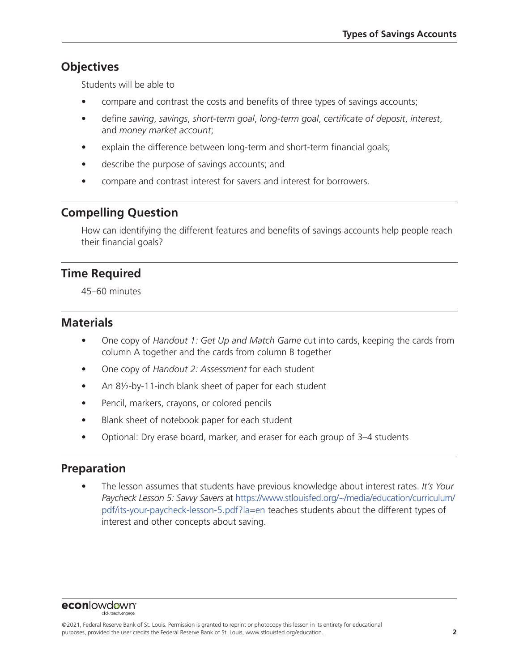## **Objectives**

Students will be able to

- compare and contrast the costs and benefits of three types of savings accounts;
- define *saving*, *savings*, *short-term goal*, *long-term goal*, *certificate of deposit*, *interest*, and *money market account*;
- explain the difference between long-term and short-term financial goals;
- describe the purpose of savings accounts; and
- compare and contrast interest for savers and interest for borrowers.

### **Compelling Question**

How can identifying the different features and benefits of savings accounts help people reach their financial goals?

### **Time Required**

45–60 minutes

### **Materials**

- One copy of *Handout 1: Get Up and Match Game* cut into cards, keeping the cards from column A together and the cards from column B together
- One copy of *Handout 2: Assessment* for each student
- An 8½-by-11-inch blank sheet of paper for each student
- Pencil, markers, crayons, or colored pencils
- Blank sheet of notebook paper for each student
- Optional: Dry erase board, marker, and eraser for each group of 3–4 students

### **Preparation**

• The lesson assumes that students have previous knowledge about interest rates. *It's Your Paycheck Lesson 5: Savvy Savers* at [https://www.stlouisfed.org/~/media/education/curriculum/](https://www.stlouisfed.org/~/media/education/curriculum/ pdf/its-your-paycheck-lesson-5.pdf?la=en) [pdf/its-your-paycheck-lesson-5.pdf?la=en](https://www.stlouisfed.org/~/media/education/curriculum/ pdf/its-your-paycheck-lesson-5.pdf?la=en) teaches students about the different types of interest and other concepts about saving.

econlowdown<sup>®</sup>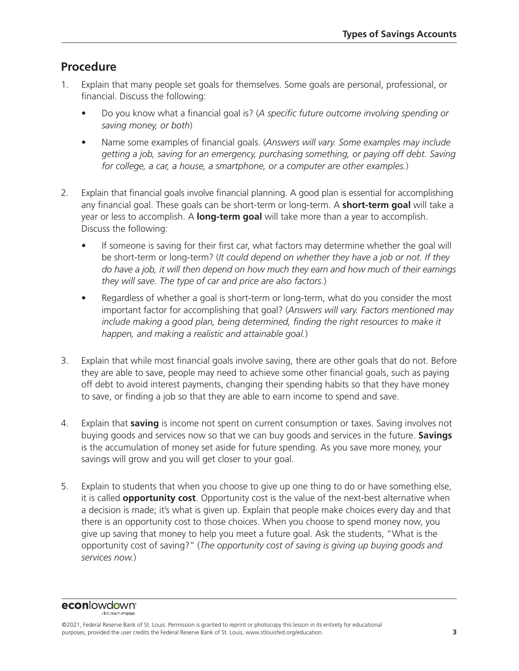### **Procedure**

- 1. Explain that many people set goals for themselves. Some goals are personal, professional, or financial. Discuss the following:
	- Do you know what a financial goal is? (*A specific future outcome involving spending or saving money, or both*)
	- Name some examples of financial goals. (*Answers will vary. Some examples may include getting a job, saving for an emergency, purchasing something, or paying off debt. Saving for college, a car, a house, a smartphone, or a computer are other examples.*)
- 2. Explain that financial goals involve financial planning. A good plan is essential for accomplishing any financial goal. These goals can be short-term or long-term. A **short-term goal** will take a year or less to accomplish. A **long-term goal** will take more than a year to accomplish. Discuss the following:
	- If someone is saving for their first car, what factors may determine whether the goal will be short-term or long-term? (*It could depend on whether they have a job or not. If they do have a job, it will then depend on how much they earn and how much of their earnings they will save. The type of car and price are also factors.*)
	- Regardless of whether a goal is short-term or long-term, what do you consider the most important factor for accomplishing that goal? (*Answers will vary. Factors mentioned may*  include making a good plan, being determined, finding the right resources to make it *happen, and making a realistic and attainable goal.*)
- 3. Explain that while most financial goals involve saving, there are other goals that do not. Before they are able to save, people may need to achieve some other financial goals, such as paying off debt to avoid interest payments, changing their spending habits so that they have money to save, or finding a job so that they are able to earn income to spend and save.
- 4. Explain that **saving** is income not spent on current consumption or taxes. Saving involves not buying goods and services now so that we can buy goods and services in the future. **Savings** is the accumulation of money set aside for future spending. As you save more money, your savings will grow and you will get closer to your goal.
- 5. Explain to students that when you choose to give up one thing to do or have something else, it is called **opportunity cost**. Opportunity cost is the value of the next-best alternative when a decision is made; it's what is given up. Explain that people make choices every day and that there is an opportunity cost to those choices. When you choose to spend money now, you give up saving that money to help you meet a future goal. Ask the students, "What is the opportunity cost of saving?" (*The opportunity cost of saving is giving up buying goods and services now.*)

econlowdown<sup>®</sup>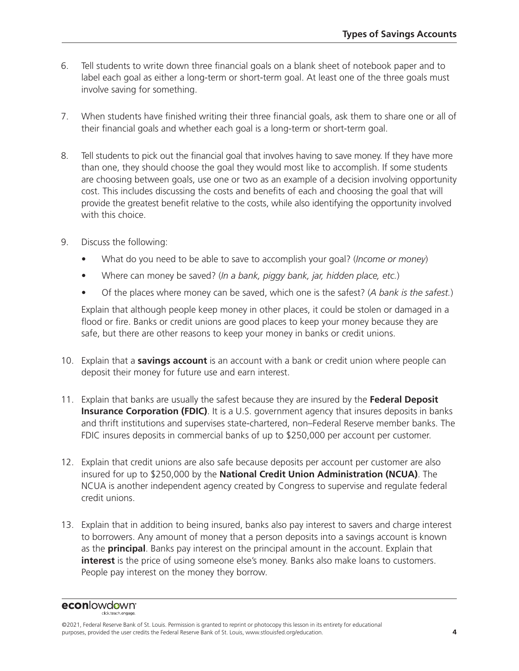- 6. Tell students to write down three financial goals on a blank sheet of notebook paper and to label each goal as either a long-term or short-term goal. At least one of the three goals must involve saving for something.
- 7. When students have finished writing their three financial goals, ask them to share one or all of their financial goals and whether each goal is a long-term or short-term goal.
- 8. Tell students to pick out the financial goal that involves having to save money. If they have more than one, they should choose the goal they would most like to accomplish. If some students are choosing between goals, use one or two as an example of a decision involving opportunity cost. This includes discussing the costs and benefits of each and choosing the goal that will provide the greatest benefit relative to the costs, while also identifying the opportunity involved with this choice.
- 9. Discuss the following:
	- What do you need to be able to save to accomplish your goal? (*Income or money*)
	- Where can money be saved? (*In a bank, piggy bank, jar, hidden place, etc.*)
	- Of the places where money can be saved, which one is the safest? (*A bank is the safest.*)

Explain that although people keep money in other places, it could be stolen or damaged in a flood or fire. Banks or credit unions are good places to keep your money because they are safe, but there are other reasons to keep your money in banks or credit unions.

- 10. Explain that a **savings account** is an account with a bank or credit union where people can deposit their money for future use and earn interest.
- 11. Explain that banks are usually the safest because they are insured by the **Federal Deposit Insurance Corporation (FDIC)**. It is a U.S. government agency that insures deposits in banks and thrift institutions and supervises state-chartered, non–Federal Reserve member banks. The FDIC insures deposits in commercial banks of up to \$250,000 per account per customer.
- 12. Explain that credit unions are also safe because deposits per account per customer are also insured for up to \$250,000 by the **National Credit Union Administration (NCUA)**. The NCUA is another independent agency created by Congress to supervise and regulate federal credit unions.
- 13. Explain that in addition to being insured, banks also pay interest to savers and charge interest to borrowers. Any amount of money that a person deposits into a savings account is known as the **principal**. Banks pay interest on the principal amount in the account. Explain that **interest** is the price of using someone else's money. Banks also make loans to customers. People pay interest on the money they borrow.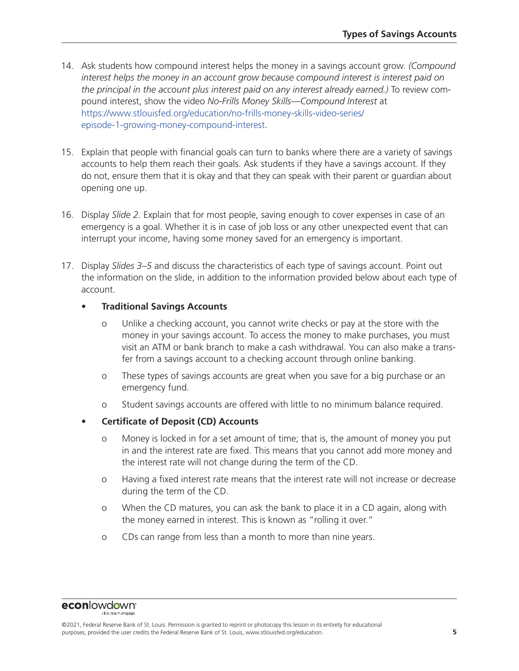- 14. Ask students how compound interest helps the money in a savings account grow. *(Compound interest helps the money in an account grow because compound interest is interest paid on*  the principal in the account plus interest paid on any interest already earned.) To review compound interest, show the video *No-Frills Money Skills—Compound Interest* at [https://www.stlouisfed.org/education/no-frills-money-skills-video-series/](https://www.stlouisfed.org/education/no-frills-money-skills-video-series/episode-1-growing-money-compound-interest) [episode-1-growing-money-compound-interest.](https://www.stlouisfed.org/education/no-frills-money-skills-video-series/episode-1-growing-money-compound-interest)
- 15. Explain that people with financial goals can turn to banks where there are a variety of savings accounts to help them reach their goals. Ask students if they have a savings account. If they do not, ensure them that it is okay and that they can speak with their parent or guardian about opening one up.
- 16. Display *Slide 2*. Explain that for most people, saving enough to cover expenses in case of an emergency is a goal. Whether it is in case of job loss or any other unexpected event that can interrupt your income, having some money saved for an emergency is important.
- 17. Display *Slides 3–5* and discuss the characteristics of each type of savings account. Point out the information on the slide, in addition to the information provided below about each type of account.

#### • **Traditional Savings Accounts**

- o Unlike a checking account, you cannot write checks or pay at the store with the money in your savings account. To access the money to make purchases, you must visit an ATM or bank branch to make a cash withdrawal. You can also make a transfer from a savings account to a checking account through online banking.
- o These types of savings accounts are great when you save for a big purchase or an emergency fund.
- o Student savings accounts are offered with little to no minimum balance required.
- **Certificate of Deposit (CD) Accounts**
	- o Money is locked in for a set amount of time; that is, the amount of money you put in and the interest rate are fixed. This means that you cannot add more money and the interest rate will not change during the term of the CD.
	- o Having a fixed interest rate means that the interest rate will not increase or decrease during the term of the CD.
	- o When the CD matures, you can ask the bank to place it in a CD again, along with the money earned in interest. This is known as "rolling it over."
	- o CDs can range from less than a month to more than nine years.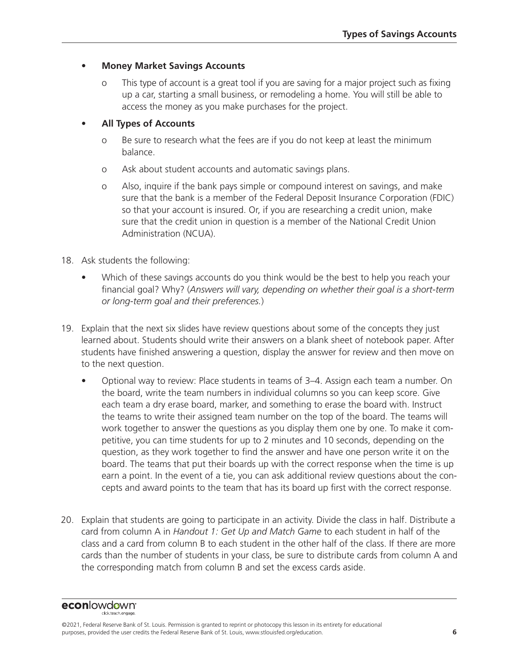#### • **Money Market Savings Accounts**

This type of account is a great tool if you are saving for a major project such as fixing up a car, starting a small business, or remodeling a home. You will still be able to access the money as you make purchases for the project.

#### • **All Types of Accounts**

- o Be sure to research what the fees are if you do not keep at least the minimum balance.
- o Ask about student accounts and automatic savings plans.
- o Also, inquire if the bank pays simple or compound interest on savings, and make sure that the bank is a member of the Federal Deposit Insurance Corporation (FDIC) so that your account is insured. Or, if you are researching a credit union, make sure that the credit union in question is a member of the National Credit Union Administration (NCUA).
- 18. Ask students the following:
	- Which of these savings accounts do you think would be the best to help you reach your financial goal? Why? (*Answers will vary, depending on whether their goal is a short-term or long-term goal and their preferences.*)
- 19. Explain that the next six slides have review questions about some of the concepts they just learned about. Students should write their answers on a blank sheet of notebook paper. After students have finished answering a question, display the answer for review and then move on to the next question.
	- Optional way to review: Place students in teams of 3–4. Assign each team a number. On the board, write the team numbers in individual columns so you can keep score. Give each team a dry erase board, marker, and something to erase the board with. Instruct the teams to write their assigned team number on the top of the board. The teams will work together to answer the questions as you display them one by one. To make it competitive, you can time students for up to 2 minutes and 10 seconds, depending on the question, as they work together to find the answer and have one person write it on the board. The teams that put their boards up with the correct response when the time is up earn a point. In the event of a tie, you can ask additional review questions about the concepts and award points to the team that has its board up first with the correct response.
- 20. Explain that students are going to participate in an activity. Divide the class in half. Distribute a card from column A in *Handout 1: Get Up and Match Game* to each student in half of the class and a card from column B to each student in the other half of the class. If there are more cards than the number of students in your class, be sure to distribute cards from column A and the corresponding match from column B and set the excess cards aside.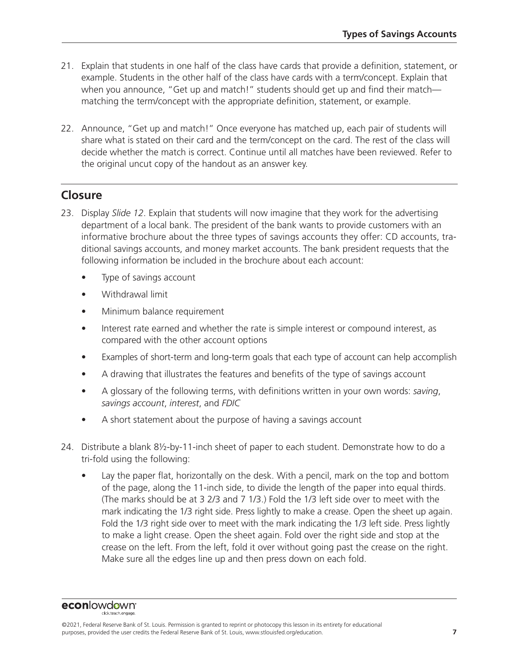- 21. Explain that students in one half of the class have cards that provide a definition, statement, or example. Students in the other half of the class have cards with a term/concept. Explain that when you announce, "Get up and match!" students should get up and find their matchmatching the term/concept with the appropriate definition, statement, or example.
- 22. Announce, "Get up and match!" Once everyone has matched up, each pair of students will share what is stated on their card and the term/concept on the card. The rest of the class will decide whether the match is correct. Continue until all matches have been reviewed. Refer to the original uncut copy of the handout as an answer key.

### **Closure**

- 23. Display *Slide 12*. Explain that students will now imagine that they work for the advertising department of a local bank. The president of the bank wants to provide customers with an informative brochure about the three types of savings accounts they offer: CD accounts, traditional savings accounts, and money market accounts. The bank president requests that the following information be included in the brochure about each account:
	- Type of savings account
	- Withdrawal limit
	- Minimum balance requirement
	- Interest rate earned and whether the rate is simple interest or compound interest, as compared with the other account options
	- Examples of short-term and long-term goals that each type of account can help accomplish
	- A drawing that illustrates the features and benefits of the type of savings account
	- A glossary of the following terms, with definitions written in your own words: *saving*, *savings account*, *interest*, and *FDIC*
	- A short statement about the purpose of having a savings account
- 24. Distribute a blank 8½-by-11-inch sheet of paper to each student. Demonstrate how to do a tri-fold using the following:
	- Lay the paper flat, horizontally on the desk. With a pencil, mark on the top and bottom of the page, along the 11-inch side, to divide the length of the paper into equal thirds. (The marks should be at 3 2/3 and 7 1/3.) Fold the 1/3 left side over to meet with the mark indicating the 1/3 right side. Press lightly to make a crease. Open the sheet up again. Fold the 1/3 right side over to meet with the mark indicating the 1/3 left side. Press lightly to make a light crease. Open the sheet again. Fold over the right side and stop at the crease on the left. From the left, fold it over without going past the crease on the right. Make sure all the edges line up and then press down on each fold.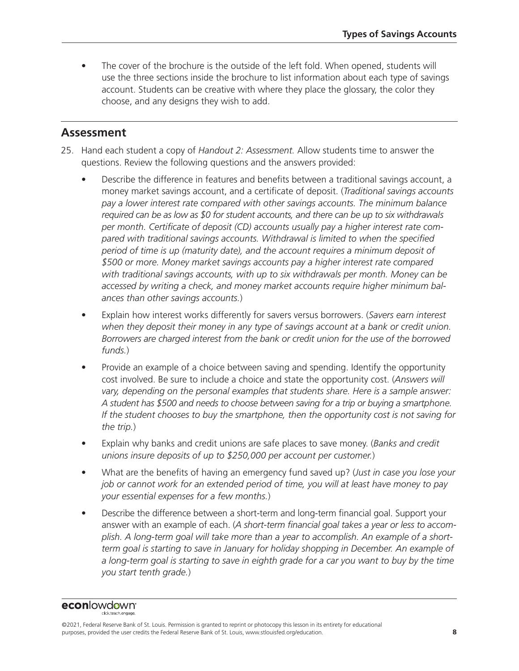The cover of the brochure is the outside of the left fold. When opened, students will use the three sections inside the brochure to list information about each type of savings account. Students can be creative with where they place the glossary, the color they choose, and any designs they wish to add.

### **Assessment**

- 25. Hand each student a copy of *Handout 2: Assessment.* Allow students time to answer the questions. Review the following questions and the answers provided:
	- Describe the difference in features and benefits between a traditional savings account, a money market savings account, and a certificate of deposit. (*Traditional savings accounts pay a lower interest rate compared with other savings accounts. The minimum balance required can be as low as \$0 for student accounts, and there can be up to six withdrawals per month. Certificate of deposit (CD) accounts usually pay a higher interest rate compared with traditional savings accounts. Withdrawal is limited to when the specified period of time is up (maturity date), and the account requires a minimum deposit of \$500 or more. Money market savings accounts pay a higher interest rate compared with traditional savings accounts, with up to six withdrawals per month. Money can be accessed by writing a check, and money market accounts require higher minimum balances than other savings accounts.*)
	- Explain how interest works differently for savers versus borrowers. (*Savers earn interest when they deposit their money in any type of savings account at a bank or credit union. Borrowers are charged interest from the bank or credit union for the use of the borrowed funds.*)
	- Provide an example of a choice between saving and spending. Identify the opportunity cost involved. Be sure to include a choice and state the opportunity cost. (*Answers will vary, depending on the personal examples that students share. Here is a sample answer: A student has \$500 and needs to choose between saving for a trip or buying a smartphone. If the student chooses to buy the smartphone, then the opportunity cost is not saving for the trip.*)
	- Explain why banks and credit unions are safe places to save money. (*Banks and credit unions insure deposits of up to \$250,000 per account per customer.*)
	- What are the benefits of having an emergency fund saved up? (*Just in case you lose your job or cannot work for an extended period of time, you will at least have money to pay your essential expenses for a few months.*)
	- Describe the difference between a short-term and long-term financial goal. Support your answer with an example of each. (*A short-term financial goal takes a year or less to accomplish. A long-term goal will take more than a year to accomplish. An example of a shortterm goal is starting to save in January for holiday shopping in December. An example of*  a long-term goal is starting to save in eighth grade for a car you want to buy by the time *you start tenth grade.*)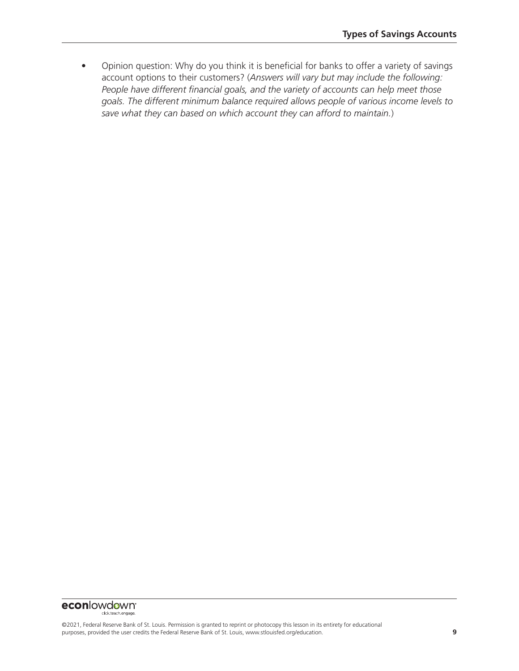• Opinion question: Why do you think it is beneficial for banks to offer a variety of savings account options to their customers? (*Answers will vary but may include the following: People have different financial goals, and the variety of accounts can help meet those goals. The different minimum balance required allows people of various income levels to save what they can based on which account they can afford to maintain.*)

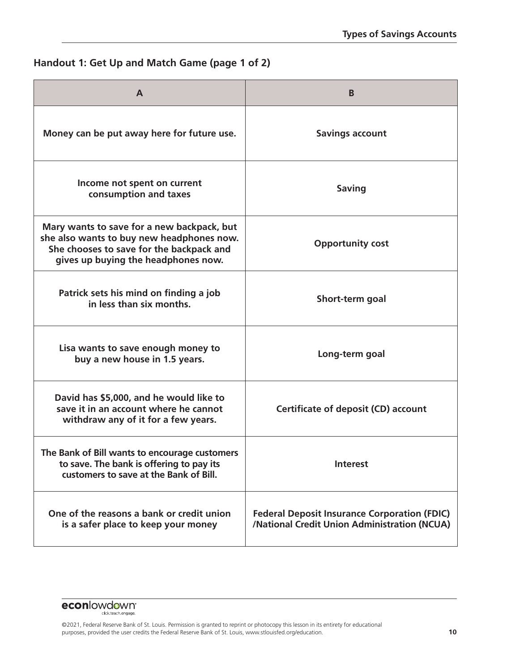### **Handout 1: Get Up and Match Game (page 1 of 2)**

| A                                                                                                                                                                          | B                                                                                                   |
|----------------------------------------------------------------------------------------------------------------------------------------------------------------------------|-----------------------------------------------------------------------------------------------------|
| Money can be put away here for future use.                                                                                                                                 | <b>Savings account</b>                                                                              |
| Income not spent on current<br>consumption and taxes                                                                                                                       | <b>Saving</b>                                                                                       |
| Mary wants to save for a new backpack, but<br>she also wants to buy new headphones now.<br>She chooses to save for the backpack and<br>gives up buying the headphones now. | <b>Opportunity cost</b>                                                                             |
| Patrick sets his mind on finding a job<br>in less than six months.                                                                                                         | Short-term goal                                                                                     |
| Lisa wants to save enough money to<br>buy a new house in 1.5 years.                                                                                                        | Long-term goal                                                                                      |
| David has \$5,000, and he would like to<br>save it in an account where he cannot<br>withdraw any of it for a few years.                                                    | Certificate of deposit (CD) account                                                                 |
| The Bank of Bill wants to encourage customers<br>to save. The bank is offering to pay its<br>customers to save at the Bank of Bill.                                        | <b>Interest</b>                                                                                     |
| One of the reasons a bank or credit union<br>is a safer place to keep your money                                                                                           | <b>Federal Deposit Insurance Corporation (FDIC)</b><br>/National Credit Union Administration (NCUA) |

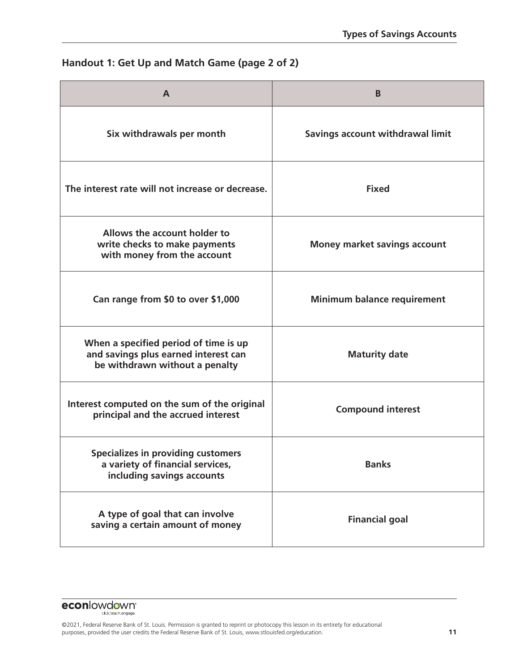### **Handout 1: Get Up and Match Game (page 2 of 2)**

| $\mathbf{A}$                                                                                                    | B                                   |
|-----------------------------------------------------------------------------------------------------------------|-------------------------------------|
| Six withdrawals per month                                                                                       | Savings account withdrawal limit    |
| The interest rate will not increase or decrease.                                                                | <b>Fixed</b>                        |
| Allows the account holder to<br>write checks to make payments<br>with money from the account                    | <b>Money market savings account</b> |
| Can range from \$0 to over \$1,000                                                                              | <b>Minimum balance requirement</b>  |
| When a specified period of time is up<br>and savings plus earned interest can<br>be withdrawn without a penalty | <b>Maturity date</b>                |
| Interest computed on the sum of the original<br>principal and the accrued interest                              | <b>Compound interest</b>            |
| Specializes in providing customers<br>a variety of financial services,<br>including savings accounts            | <b>Banks</b>                        |
| A type of goal that can involve<br>saving a certain amount of money                                             | <b>Financial goal</b>               |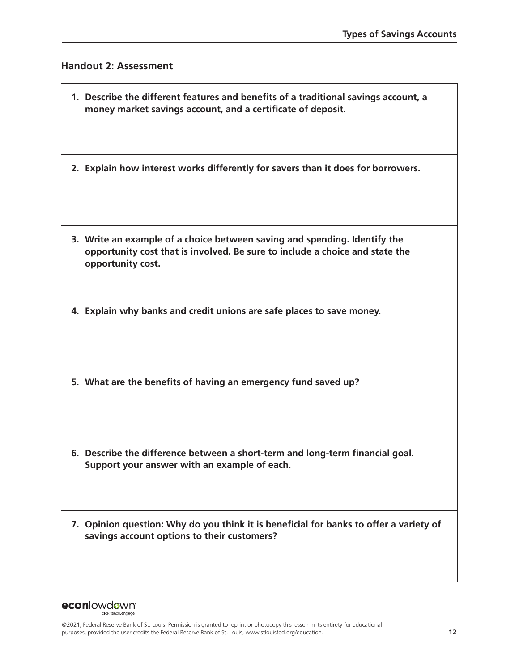#### **Handout 2: Assessment**

r

| 1. Describe the different features and benefits of a traditional savings account, a<br>money market savings account, and a certificate of deposit.                             |
|--------------------------------------------------------------------------------------------------------------------------------------------------------------------------------|
| 2. Explain how interest works differently for savers than it does for borrowers.                                                                                               |
| 3. Write an example of a choice between saving and spending. Identify the<br>opportunity cost that is involved. Be sure to include a choice and state the<br>opportunity cost. |
| 4. Explain why banks and credit unions are safe places to save money.                                                                                                          |
| 5. What are the benefits of having an emergency fund saved up?                                                                                                                 |
| 6. Describe the difference between a short-term and long-term financial goal.<br>Support your answer with an example of each.                                                  |
| 7. Opinion question: Why do you think it is beneficial for banks to offer a variety of<br>savings account options to their customers?                                          |
|                                                                                                                                                                                |

**econlowdown**